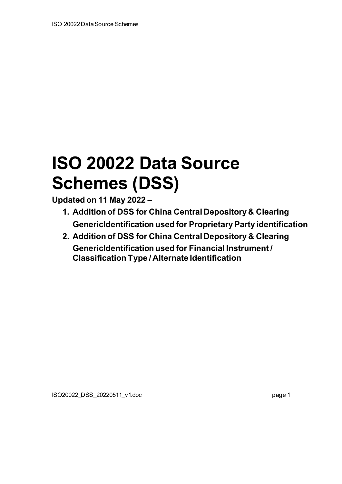# **ISO 20022 Data Source Schemes (DSS)**

**Updated on 11 May 2022 –**

- **1. Addition of DSS for China Central Depository & Clearing GenericIdentification used for Proprietary Party identification**
- **2. Addition of DSS for China Central Depository & Clearing GenericIdentification used for Financial Instrument / Classification Type / Alternate Identification**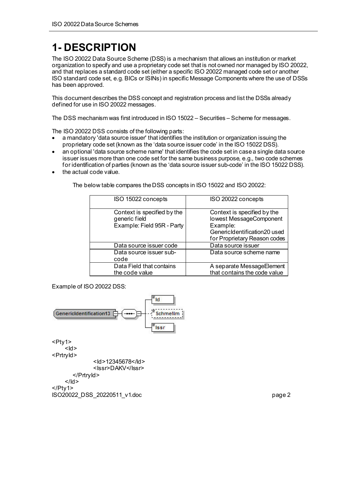# **1- DESCRIPTION**

The ISO 20022 Data Source Scheme (DSS) is a mechanism that allows an institution or market organization to specify and use a proprietary code set that is not owned nor managed by ISO 20022, and that replaces a standard code set (either a specific ISO 20022 managed code set or another ISO standard code set, e.g. BICs or ISINs) in specific Message Components where the use of DSSs has been approved.

This document describes the DSS concept and registration process and list the DSSs already defined for use in ISO 20022 messages.

The DSS mechanism was first introduced in ISO 15022 – Securities – Scheme for messages.

The ISO 20022 DSS consists of the following parts:

- a mandatory 'data source issuer' that identifies the institution or organization issuing the proprietary code set (known as the 'data source issuer code' in the ISO 15022 DSS).
- an optional 'data source scheme name' that identifies the code set in case a single data source issuer issues more than one code set for the same business purpose, e.g., two code schemes for identification of parties (known as the 'data source issuer sub-code' in the ISO 15022 DSS).
- the actual code value.

The below table compares the DSS concepts in ISO 15022 and ISO 20022:

| ISO 15022 concepts                                                         | ISO 20022 concepts                                                                                                                 |
|----------------------------------------------------------------------------|------------------------------------------------------------------------------------------------------------------------------------|
| Context is specified by the<br>generic field<br>Example: Field 95R - Party | Context is specified by the<br>lowest MessageComponent<br>Example:<br>GenericIdentification20 used<br>for Proprietary Reason codes |
| Data source issuer code                                                    | Data source issuer                                                                                                                 |
| Data source issuer sub-<br>code                                            | Data source scheme name                                                                                                            |
| Data Field that contains<br>the code value                                 | A separate MessageElement<br>that contains the code value                                                                          |

Example of ISO 20022 DSS:

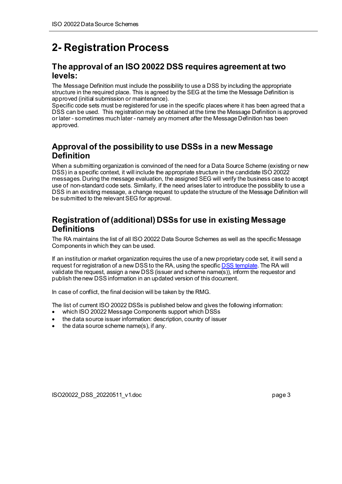# **2- Registration Process**

#### **The approval of an ISO 20022 DSS requires agreement at two levels:**

The Message Definition must include the possibility to use a DSS by including the appropriate structure in the required place. This is agreed by the SEG at the time the Message Definition is approved (initial submission or maintenance).

Specific code sets must be registered for use in the specific places where it has been agreed that a DSS can be used. This registration may be obtained at the time the Message Definition is approved or later - sometimes much later - namely any moment after the Message Definition has been approved.

### **Approval of the possibility to use DSSs in a new Message Definition**

When a submitting organization is convinced of the need for a Data Source Scheme (existing or new DSS) in a specific context, it will include the appropriate structure in the candidate ISO 20022 messages. During the message evaluation, the assigned SEG will verify the business case to accept use of non-standard code sets. Similarly, if the need arises later to introduce the possibility to use a DSS in an existing message, a change request to update the structure of the Message Definition will be submitted to the relevant SEG for approval.

### **Registration of (additional) DSSs for use in existing Message Definitions**

The RA maintains the list of all ISO 20022 Data Source Schemes as well as the specific Message Components in which they can be used.

If an institution or market organization requires the use of a new proprietary code set, it will send a request for registration of a new DSS to the RA, using the specific **DSS template**. The RA will validate the request, assign a new DSS (issuer and scheme name(s)), inform the requestor and publish the new DSS information in an updated version of this document.

In case of conflict, the final decision will be taken by the RMG.

The list of current ISO 20022 DSSs is published below and gives the following information:

- which ISO 20022 Message Components support which DSSs
- the data source issuer information: description, country of issuer
- the data source scheme name(s), if any.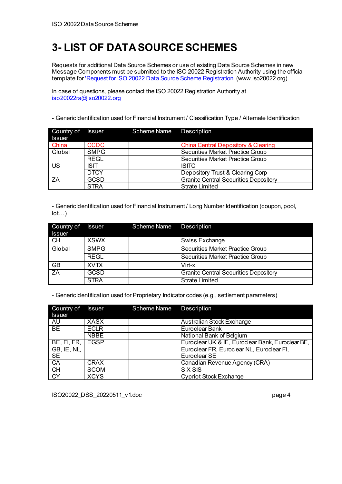## **3- LIST OF DATA SOURCESCHEMES**

Requests for additional Data Source Schemes or use of existing Data Source Schemes in new Message Components must be submitted to the ISO 20022 Registration Authority using the official template fo[r 'Request for ISO 20022 Data Source](http://www.iso20022.org/documents/general/DSStemplate.doc) Scheme Registration' [\(www.iso20022.org](http://www.iso20022.org/)).

In case of questions, please contact the ISO 20022 Registration Authority at [iso20022ra@iso20022.org](mailto:iso20022ra@iso20022.org)

- GenericIdentification used for Financial Instrument / Classification Type / Alternate Identification

| Country of<br><b>Issuer</b> | <b>Issuer</b> | Scheme Name | <b>Description</b>                             |
|-----------------------------|---------------|-------------|------------------------------------------------|
| China                       | <b>CCDC</b>   |             | <b>China Central Depository &amp; Clearing</b> |
| Global                      | <b>SMPG</b>   |             | <b>Securities Market Practice Group</b>        |
|                             | <b>REGL</b>   |             | <b>Securities Market Practice Group</b>        |
| US                          | <b>ISIT</b>   |             | <b>ISITC</b>                                   |
|                             | <b>DTCY</b>   |             | Depository Trust & Clearing Corp               |
| ZA                          | <b>GCSD</b>   |             | <b>Granite Central Securities Depository</b>   |
|                             | <b>STRA</b>   |             | <b>Strate Limited</b>                          |

- GenericIdentification used for Financial Instrument / Long Number Identification (coupon, pool,  $lot...$ )

| Country of<br><b>Issuer</b> | <b>Issuer</b> | Scheme Name | <b>Description</b>                           |
|-----------------------------|---------------|-------------|----------------------------------------------|
| <b>CH</b>                   | <b>XSWX</b>   |             | Swiss Exchange                               |
| Global                      | <b>SMPG</b>   |             | <b>Securities Market Practice Group</b>      |
|                             | <b>REGL</b>   |             | <b>Securities Market Practice Group</b>      |
| <b>GB</b>                   | <b>XVTX</b>   |             | Virt-x                                       |
| ZA                          | <b>GCSD</b>   |             | <b>Granite Central Securities Depository</b> |
|                             | <b>STRA</b>   |             | <b>Strate Limited</b>                        |

- GenericIdentification used for Proprietary Indicator codes (e.g., settlement parameters)

| Country of<br><b>Issuer</b>               | <b>Issuer</b> | Scheme Name | <b>Description</b>                                                                                            |
|-------------------------------------------|---------------|-------------|---------------------------------------------------------------------------------------------------------------|
| AU                                        | <b>XASX</b>   |             | Australian Stock Exchange                                                                                     |
| <b>BE</b>                                 | <b>ECLR</b>   |             | Euroclear Bank                                                                                                |
|                                           | <b>NBBE</b>   |             | National Bank of Belgium                                                                                      |
| BE, FI, FR, I<br>GB, IE, NL,<br><b>SE</b> | <b>EGSP</b>   |             | Euroclear UK & IE, Euroclear Bank, Euroclear BE,<br>Euroclear FR, Euroclear NL, Euroclear FI,<br>Euroclear SE |
| CA                                        | <b>CRAX</b>   |             | Canadian Revenue Agency (CRA)                                                                                 |
| <b>CH</b>                                 | <b>SCOM</b>   |             | <b>SIX SIS</b>                                                                                                |
| <b>CY</b>                                 | <b>XCYS</b>   |             | <b>Cypriot Stock Exchange</b>                                                                                 |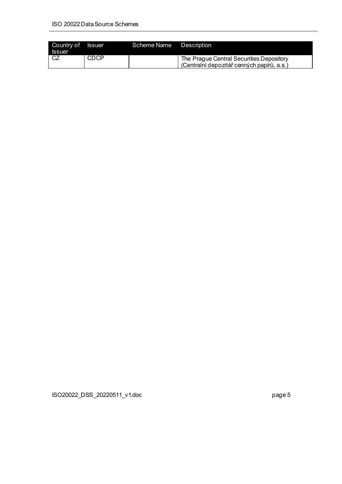| Country of Issuer<br><b>Issuer</b> |             | Scheme Name | Description                                                                            |
|------------------------------------|-------------|-------------|----------------------------------------------------------------------------------------|
| l CZ                               | <b>CDCP</b> |             | The Prague Central Securities Depository<br>(Centralní depozitář cenných papírů, a.s.) |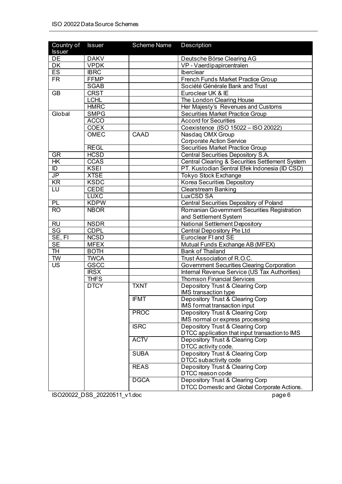| Country of<br><b>Issuer</b> | <b>Issuer</b> | Scheme Name | <b>Description</b>                                |
|-----------------------------|---------------|-------------|---------------------------------------------------|
| DE                          | <b>DAKV</b>   |             | Deutsche Börse Clearing AG                        |
| DK                          | <b>VPDK</b>   |             | VP - Vaerdipapircentralen                         |
| <b>ES</b>                   | <b>IBRC</b>   |             | Iberclear                                         |
| <b>FR</b>                   | <b>FFMP</b>   |             | French Funds Market Practice Group                |
|                             | <b>SGAB</b>   |             | Société Générale Bank and Trust                   |
| <b>GB</b>                   | <b>CRST</b>   |             | Euroclear UK & IE                                 |
|                             | <b>LCHL</b>   |             | The London Clearing House                         |
|                             | <b>HMRC</b>   |             | Her Majesty's Revenues and Customs                |
| Global                      | <b>SMPG</b>   |             | <b>Securities Market Practice Group</b>           |
|                             | <b>ACCO</b>   |             | <b>Accord for Securities</b>                      |
|                             | <b>COEX</b>   |             | Coexistence (ISO 15022 - ISO 20022)               |
|                             | <b>OMEC</b>   | CAAD        | Nasdaq OMX Group                                  |
|                             |               |             | <b>Corporate Action Service</b>                   |
|                             | <b>REGL</b>   |             | <b>Securities Market Practice Group</b>           |
| GR                          | <b>HCSD</b>   |             | <b>Central Securities Depository S.A.</b>         |
| $H$ K                       | CCAS          |             | Central Clearing & Securities Settlement System   |
| $\overline{D}$              | <b>KSEI</b>   |             | PT. Kustodian Sentral Efek Indonesia (ID CSD)     |
| $J\overline{P}$             | <b>XTSE</b>   |             | <b>Tokyo Stock Exchange</b>                       |
| $\overline{\text{KR}}$      | <b>KSDC</b>   |             | <b>Korea Securities Depository</b>                |
| LU                          | <b>CEDE</b>   |             | <b>Clearstream Banking</b>                        |
|                             | <b>LUXC</b>   |             | <b>LuxCSD SA</b>                                  |
| PL                          | <b>KDPW</b>   |             | <b>Central Securities Depository of Poland</b>    |
| <b>RO</b>                   | <b>NBOR</b>   |             | Romanian Government Securities Registration       |
|                             |               |             | and Settlement System                             |
| <b>RU</b>                   | <b>NSDR</b>   |             | National Settlement Depository                    |
| $\overline{\text{SG}}$      | <b>CDPL</b>   |             | <b>Central Depository Pte Ltd</b>                 |
| SE, FI                      | <b>NCSD</b>   |             | Euroclear FI and SE                               |
| SE                          | <b>MFEX</b>   |             | Mutual Funds Exchange AB (MFEX)                   |
| <b>TH</b>                   | <b>BOTH</b>   |             | <b>Bank of Thailand</b>                           |
| <b>TW</b>                   | <b>TWCA</b>   |             | Trust Association of R.O.C.                       |
| $\overline{US}$             | <b>GSCC</b>   |             | <b>Government Securities Clearing Corporation</b> |
|                             | <b>IRSX</b>   |             | Internal Revenue Service (US Tax Authorities)     |
|                             | <b>THFS</b>   |             | <b>Thomson Financial Services</b>                 |
|                             | <b>DTCY</b>   | <b>TXNT</b> | Depository Trust & Clearing Corp                  |
|                             |               |             | IMS transaction type                              |
|                             |               | <b>IFMT</b> | Depository Trust & Clearing Corp                  |
|                             |               |             | IMS format transaction input                      |
|                             |               | <b>PROC</b> | Depository Trust & Clearing Corp                  |
|                             |               |             | IMS normal or express processing                  |
|                             |               | <b>ISRC</b> | Depository Trust & Clearing Corp                  |
|                             |               |             | DTCC application that input transaction to IMS    |
|                             |               | <b>ACTV</b> | Depository Trust & Clearing Corp                  |
|                             |               |             | DTCC activity code.                               |
|                             |               | <b>SUBA</b> | Depository Trust & Clearing Corp                  |
|                             |               |             | DTCC subactivity code                             |
|                             |               | <b>REAS</b> | Depository Trust & Clearing Corp                  |
|                             |               |             | DTCC reason code                                  |
|                             |               | <b>DGCA</b> | Depository Trust & Clearing Corp                  |
|                             |               |             | DTCC Domestic and Global Corporate Actions.       |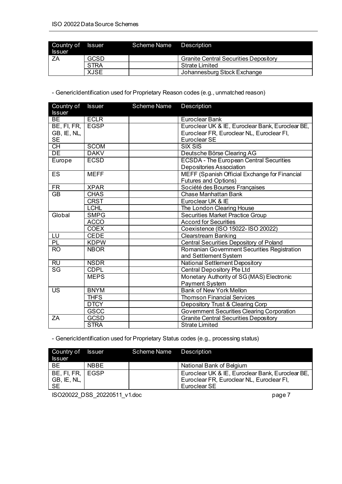| Country of Issuer<br><b>Issuer</b> |             | Scheme Name Description |                                              |
|------------------------------------|-------------|-------------------------|----------------------------------------------|
| ΖA                                 | <b>GCSD</b> |                         | <b>Granite Central Securities Depository</b> |
|                                    | <b>STRA</b> |                         | <b>Strate Limited</b>                        |
|                                    | <b>XJSE</b> |                         | Johannesburg Stock Exchange                  |

- GenericIdentification used for Proprietary Reason codes (e.g., unmatched reason)

| Country of<br><b>Issuer</b> | <b>Issuer</b> | <b>Scheme Name</b> | Description                                                                  |
|-----------------------------|---------------|--------------------|------------------------------------------------------------------------------|
| <b>BE</b>                   | <b>ECLR</b>   |                    | Euroclear Bank                                                               |
| BE, FI, FR,                 | <b>EGSP</b>   |                    | Euroclear UK & IE, Euroclear Bank, Euroclear BE,                             |
| GB, IE, NL,                 |               |                    | Euroclear FR, Euroclear NL, Euroclear FI,                                    |
| <b>SE</b>                   |               |                    | Euroclear SE                                                                 |
| $\overline{CH}$             | <b>SCOM</b>   |                    | <b>SIX SIS</b>                                                               |
| DE                          | <b>DAKV</b>   |                    | Deutsche Börse Clearing AG                                                   |
| Europe                      | <b>ECSD</b>   |                    | <b>ECSDA - The European Central Securities</b>                               |
|                             |               |                    | Depositories Association                                                     |
| ES                          | <b>MEFF</b>   |                    | MEFF (Spanish Official Exchange for Financial<br><b>Futures and Options)</b> |
| <b>FR</b>                   | <b>XPAR</b>   |                    | Société des Bourses Françaises                                               |
| $\overline{GB}$             | <b>CHAS</b>   |                    | <b>Chase Manhattan Bank</b>                                                  |
|                             | <b>CRST</b>   |                    | Euroclear UK & IE                                                            |
|                             | <b>LCHL</b>   |                    | The London Clearing House                                                    |
| Global                      | <b>SMPG</b>   |                    | <b>Securities Market Practice Group</b>                                      |
|                             | <b>ACCO</b>   |                    | <b>Accord for Securities</b>                                                 |
|                             | <b>COEX</b>   |                    | Coexistence (ISO 15022- ISO 20022)                                           |
| LU                          | <b>CEDE</b>   |                    | <b>Clearstream Banking</b>                                                   |
| PL                          | <b>KDPW</b>   |                    | <b>Central Securities Depository of Poland</b>                               |
| <b>RO</b>                   | <b>NBOR</b>   |                    | Romanian Government Securities Registration<br>and Settlement System         |
| RU                          | <b>NSDR</b>   |                    | National Settlement Depository                                               |
| $\overline{\text{SG}}$      | <b>CDPL</b>   |                    | <b>Central Depository Pte Ltd</b>                                            |
|                             | <b>MEPS</b>   |                    | Monetary Authority of SG (MAS) Electronic                                    |
|                             |               |                    | Payment System                                                               |
| <b>US</b>                   | <b>BNYM</b>   |                    | <b>Bank of New York Mellon</b>                                               |
|                             | <b>THFS</b>   |                    | <b>Thomson Financial Services</b>                                            |
|                             | <b>DTCY</b>   |                    | Depository Trust & Clearing Corp                                             |
|                             | <b>GSCC</b>   |                    | <b>Government Securities Clearing Corporation</b>                            |
| ZA                          | <b>GCSD</b>   |                    | <b>Granite Central Securities Depository</b>                                 |
|                             | <b>STRA</b>   |                    | <b>Strate Limited</b>                                                        |

- GenericIdentification used for Proprietary Status codes (e.g., processing status)

| Country of<br><b>Issuer</b>              | <b>Issuer</b> | Scheme Name | Description                                                                                                   |
|------------------------------------------|---------------|-------------|---------------------------------------------------------------------------------------------------------------|
| <b>BE</b>                                | <b>NBBE</b>   |             | National Bank of Belgium                                                                                      |
| BE, FI, FR,   EGSP<br>GB, IE, NL,<br>-SE |               |             | Euroclear UK & IE, Euroclear Bank, Euroclear BE,<br>Euroclear FR, Euroclear NL, Euroclear FI,<br>Euroclear SE |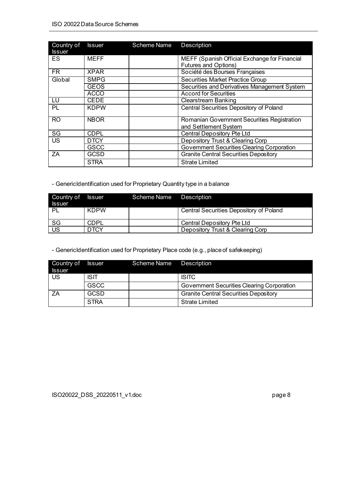| Country of<br><b>Issuer</b> | <b>Issuer</b> | <b>Scheme Name</b> | <b>Description</b>                                                           |
|-----------------------------|---------------|--------------------|------------------------------------------------------------------------------|
| ES                          | <b>MEFF</b>   |                    | MEFF (Spanish Official Exchange for Financial<br><b>Futures and Options)</b> |
| $\overline{\text{FR}}$      | <b>XPAR</b>   |                    | Société des Bourses Françaises                                               |
| Global                      | <b>SMPG</b>   |                    | <b>Securities Market Practice Group</b>                                      |
|                             | <b>GEOS</b>   |                    | Securities and Derivatives Management System                                 |
|                             | <b>ACCO</b>   |                    | <b>Accord for Securities</b>                                                 |
| LU                          | <b>CEDE</b>   |                    | <b>Clearstream Banking</b>                                                   |
| PL                          | <b>KDPW</b>   |                    | <b>Central Securities Depository of Poland</b>                               |
| <b>RO</b>                   | <b>NBOR</b>   |                    | Romanian Government Securities Registration<br>and Settlement System         |
| SG                          | <b>CDPL</b>   |                    | Central Depository Pte Ltd                                                   |
| <b>US</b>                   | <b>DTCY</b>   |                    | Depository Trust & Clearing Corp                                             |
|                             | <b>GSCC</b>   |                    | Government Securities Clearing Corporation                                   |
| ΖA                          | <b>GCSD</b>   |                    | <b>Granite Central Securities Depository</b>                                 |
|                             | <b>STRA</b>   |                    | Strate Limited                                                               |

- GenericIdentification used for Proprietary Quantity type in a balance

| Country of<br><b>Issuer</b> | <b>Issuer</b> | Scheme Name | Description                             |
|-----------------------------|---------------|-------------|-----------------------------------------|
| -PL                         | <b>KDPW</b>   |             | Central Securities Depository of Poland |
| SG                          | <b>CDPL</b>   |             | Central Depository Pte Ltd              |
| <b>US</b>                   | DTCY          |             | Depository Trust & Clearing Corp        |

- GenericIdentification used for Proprietary Place code (e.g., place of safekeeping)

| Country of<br><b>Issuer</b> | <b>Issuer</b> | Scheme Name | Description                                  |
|-----------------------------|---------------|-------------|----------------------------------------------|
| <b>US</b>                   | <b>ISIT</b>   |             | <b>ISITC</b>                                 |
|                             | <b>GSCC</b>   |             | Government Securities Clearing Corporation   |
| <b>7A</b>                   | <b>GCSD</b>   |             | <b>Granite Central Securities Depository</b> |
|                             | <b>STRA</b>   |             | <b>Strate Limited</b>                        |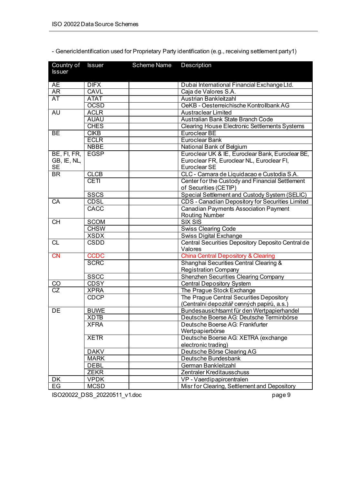| Country of<br><b>Issuer</b> | <b>Issuer</b>              | Scheme Name | Description                                                 |
|-----------------------------|----------------------------|-------------|-------------------------------------------------------------|
| <b>AE</b>                   | <b>DIFX</b>                |             | Dubai International Financial Exchange Ltd.                 |
| AR                          | <b>CAVL</b>                |             | Caja de Valores S.A.                                        |
| <b>AT</b>                   | <b>ATAT</b>                |             | Austrian Bankleitzahl                                       |
|                             | <b>OCSD</b>                |             | OeKB - Oesterreichische Kontrollbank AG                     |
| <b>AU</b>                   | <b>ACLR</b>                |             | <b>Austraclear Limited</b>                                  |
|                             | <b>AUAU</b>                |             | Australian Bank State Branch Code                           |
|                             | <b>CHES</b>                |             | <b>Clearing House Electronic Settlements Systems</b>        |
| <b>BE</b>                   | <b>CIKB</b>                |             | Euroclear BE                                                |
|                             | <b>ECLR</b>                |             | Euroclear Bank                                              |
|                             | <b>NBBE</b>                |             | National Bank of Belgium                                    |
| BE, FI, FR,                 | <b>EGSP</b>                |             | Euroclear UK & IE, Euroclear Bank, Euroclear BE,            |
| GB, IE, NL,                 |                            |             | Euroclear FR, Euroclear NL, Euroclear FI,                   |
| <b>SE</b>                   |                            |             | Euroclear SE                                                |
| BR                          | <b>CLCB</b>                |             | CLC - Camara de Liquidacao e Custodia S.A.                  |
|                             | <b>CETI</b>                |             | Center for the Custody and Financial Settlement             |
|                             |                            |             | of Securities (CETIP)                                       |
|                             | <b>SSCS</b>                |             | Special Settlement and Custody System (SELIC)               |
| CA                          | <b>CDSL</b>                |             | CDS - Canadian Depository for Securities Limited            |
|                             | CACC                       |             | <b>Canadian Payments Association Payment</b>                |
| <b>CH</b>                   |                            |             | <b>Routing Number</b><br><b>SIX SIS</b>                     |
|                             | <b>SCOM</b><br><b>CHSW</b> |             |                                                             |
|                             | <b>XSDX</b>                |             | <b>Swiss Clearing Code</b><br><b>Swiss Digital Exchange</b> |
| <b>CL</b>                   | <b>CSDD</b>                |             | Central Securities Depository Deposito Central de           |
|                             |                            |             | Valores                                                     |
| CN                          | <b>CCDC</b>                |             | <b>China Central Depository &amp; Clearing</b>              |
|                             | <b>SCRC</b>                |             | Shanghai Securities Central Clearing &                      |
|                             |                            |             | <b>Registration Company</b>                                 |
|                             | <b>SSCC</b>                |             | <b>Shenzhen Securities Clearing Company</b>                 |
| <u>CO</u>                   | <b>CDSY</b>                |             | <b>Central Depository System</b>                            |
| $\overline{\text{CZ}}$      | <b>XPRA</b>                |             | The Prague Stock Exchange                                   |
|                             | <b>CDCP</b>                |             | The Prague Central Securities Depository                    |
|                             |                            |             | (Centralní depozitář cenných papírů, a.s.)                  |
| DE                          | <b>BUWE</b>                |             | Bundesausichtsamt für den Wertpapierhandel                  |
|                             | <b>XDTB</b>                |             | Deutsche Boerse AG: Deutsche Terminbörse                    |
|                             | <b>XFRA</b>                |             | Deutsche Boerse AG: Frankfurter                             |
|                             |                            |             | Wertpapierbörse                                             |
|                             | <b>XETR</b>                |             | Deutsche Boerse AG: XETRA (exchange                         |
|                             |                            |             | electronic trading)<br>Deutsche Börse Clearing AG           |
|                             | <b>DAKV</b><br><b>MARK</b> |             | Deutsche Bundesbank                                         |
|                             | <b>DEBL</b>                |             | German Bankleitzahl                                         |
|                             | <b>ZEKR</b>                |             | Zentraler Kreditausschuss                                   |
| DK                          | <b>VPDK</b>                |             | VP - Vaerdipapircentralen                                   |
| EG                          | <b>MCSD</b>                |             | Misr for Clearing, Settlement and Depository                |
|                             |                            |             |                                                             |

- GenericIdentification used for Proprietary Party identification (e.g., receiving settlement party1)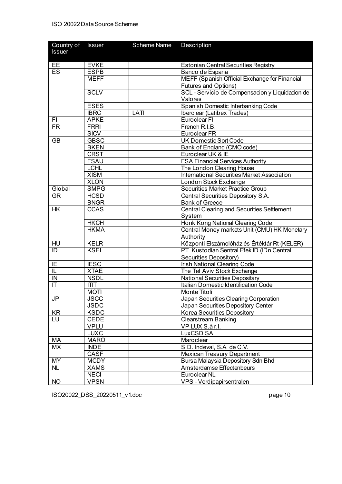| Country of             | <b>Issuer</b>              | Scheme Name | Description                                                        |
|------------------------|----------------------------|-------------|--------------------------------------------------------------------|
| <b>Issuer</b>          |                            |             |                                                                    |
|                        |                            |             |                                                                    |
| EE                     | <b>EVKE</b>                |             | <b>Estonian Central Securities Registry</b>                        |
| ES                     | <b>ESPB</b>                |             | Banco de Espana                                                    |
|                        | <b>MEFF</b>                |             | MEFF (Spanish Official Exchange for Financial                      |
|                        |                            |             | Futures and Options)                                               |
|                        | <b>SCLV</b>                |             | SCL - Servicio de Compensacion y Liquidacion de                    |
|                        |                            |             | Valores                                                            |
|                        | <b>ESES</b>                |             | Spanish Domestic Interbanking Code                                 |
|                        | <b>IBRC</b>                | LATI        | Iberclear (Latibex Trades)                                         |
| F1                     | <b>APKE</b>                |             | Euroclear FI                                                       |
| <b>FR</b>              | <b>FRRI</b>                |             | French R.I.B.                                                      |
|                        | <b>SICV</b>                |             | Euroclear FR                                                       |
| <b>GB</b>              | <b>GBSC</b>                |             | UK Domestic Sort Code                                              |
|                        | <b>BKEN</b>                |             | Bank of England (CMO code)                                         |
|                        | <b>CRST</b>                |             | Euroclear UK & IE                                                  |
|                        | <b>FSAU</b><br><b>LCHL</b> |             | <b>FSA Financial Services Authority</b>                            |
|                        | <b>XISM</b>                |             | The London Clearing House                                          |
|                        | <b>XLON</b>                |             | <b>International Securities Market Association</b>                 |
| Global                 | <b>SMPG</b>                |             | London Stock Exchange<br><b>Securities Market Practice Group</b>   |
| <b>GR</b>              | <b>HCSD</b>                |             |                                                                    |
|                        | <b>BNGR</b>                |             | <b>Central Securities Depository S.A.</b><br><b>Bank of Greece</b> |
| <b>HK</b>              | <b>CCAS</b>                |             | <b>Central Clearing and Securities Settlement</b>                  |
|                        |                            |             | System                                                             |
|                        | <b>HKCH</b>                |             | Honk Kong National Clearing Code                                   |
|                        | <b>HKMA</b>                |             | Central Money markets Unit (CMU) HK Monetary                       |
|                        |                            |             | Authority                                                          |
| HU                     | <b>KELR</b>                |             | Központi Elszámolóház és Értéktár Rt (KELER)                       |
| $\overline{D}$         | <b>KSEI</b>                |             | PT. Kustodian Sentral Efek ID (IDn Central                         |
|                        |                            |             | Securities Depository)                                             |
| IE                     | <b>IESC</b>                |             | Irish National Clearing Code                                       |
| IL                     | <b>XTAE</b>                |             | The Tel Aviv Stock Exchange                                        |
| IN                     | <b>NSDL</b>                |             | <b>National Securities Depositary</b>                              |
| $\mathsf{I}\mathsf{T}$ | <b>ITIT</b>                |             | Italian Domestic Identification Code                               |
|                        | <b>MOTI</b>                |             | Monte Titoli                                                       |
| JP                     | <b>JSCC</b>                |             | Japan Securities Clearing Corporation                              |
|                        | <b>JSDC</b>                |             | Japan Securities Depository Center                                 |
| KR                     | <b>KSDC</b>                |             | Korea Securities Depository                                        |
| LU                     | <b>CEDE</b>                |             | <b>Clearstream Banking</b>                                         |
|                        | <b>VPLU</b>                |             | VP LUX S.à r.l.                                                    |
|                        | <b>LUXC</b>                |             | LuxCSD SA                                                          |
| МA                     | <b>MARO</b>                |             | Maroclear                                                          |
| MX                     | <b>INDE</b>                |             | S.D. Indeval, S.A. de C.V.                                         |
|                        | <b>CASF</b>                |             | <b>Mexican Treasury Department</b>                                 |
| <b>MY</b>              | <b>MCDY</b>                |             | Bursa Malaysia Depository Sdn Bhd                                  |
| <b>NL</b>              | <b>XAMS</b>                |             | Amsterdamse Effectenbeurs                                          |
|                        | <b>NECI</b>                |             | Euroclear NL                                                       |
| <b>NO</b>              | <b>VPSN</b>                |             | VPS - Verdipapirsentralen                                          |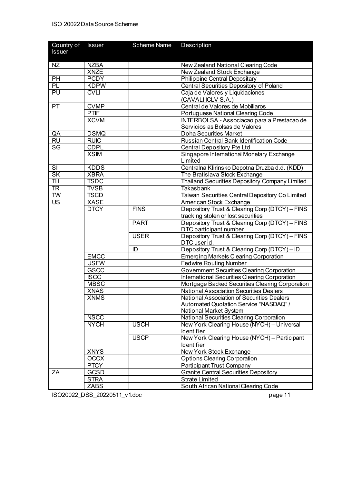| Country of<br><b>Issuer</b> | <b>Issuer</b> | <b>Scheme Name</b> | Description                                                                   |
|-----------------------------|---------------|--------------------|-------------------------------------------------------------------------------|
| NZ                          | <b>NZBA</b>   |                    | New Zealand National Clearing Code                                            |
|                             | <b>XNZE</b>   |                    | <b>New Zealand Stock Exchange</b>                                             |
| PH                          | <b>PCDY</b>   |                    | <b>Philippine Central Depositary</b>                                          |
| PL                          | <b>KDPW</b>   |                    | <b>Central Securities Depository of Poland</b>                                |
| PU                          | <b>CVLI</b>   |                    | Caja de Valores y Liquidaciones                                               |
|                             |               |                    | (CAVALI ICLV S.A.)                                                            |
| <b>PT</b>                   | <b>CVMP</b>   |                    | Central de Valores de Mobiliaros                                              |
|                             | <b>PTIF</b>   |                    | Portuguese National Clearing Code                                             |
|                             | <b>XCVM</b>   |                    | INTERBOLSA - Associacao para a Prestacao de<br>Servicios as Bolsas de Valores |
| QA                          | <b>DSMQ</b>   |                    | Doha Securities Market                                                        |
| <b>RU</b>                   | <b>RUIC</b>   |                    | Russian Central Bank Identification Code                                      |
| SG                          | <b>CDPL</b>   |                    | Central Depository Pte Ltd                                                    |
|                             | <b>XSIM</b>   |                    | Singapore International Monetary Exchange<br>Limited                          |
| $\overline{\mathsf{S}}$     | <b>KDDS</b>   |                    | Centralna Klirinsko Depotna Druzba d.d. (KDD)                                 |
| <b>SK</b>                   | <b>XBRA</b>   |                    | The Bratislava Stock Exchange                                                 |
| TH                          | <b>TSDC</b>   |                    | <b>Thailand Securities Depository Company Limited</b>                         |
| $\overline{\text{TR}}$      | <b>TVSB</b>   |                    | <b>Takasbank</b>                                                              |
| $\overline{\mathsf{TW}}$    | <b>TSCD</b>   |                    | Taiwan Securities Central Depository Co Limited                               |
| $\overline{\mathsf{US}}$    | <b>XASE</b>   |                    | American Stock Exchange                                                       |
|                             | <b>DTCY</b>   | <b>FINS</b>        | Depository Trust & Clearing Corp (DTCY) - FINS                                |
|                             |               |                    | tracking stolen or lost securities                                            |
|                             |               | <b>PART</b>        | Depository Trust & Clearing Corp (DTCY) - FINS<br>DTC participant number      |
|                             |               | <b>USER</b>        | Depository Trust & Clearing Corp (DTCY) - FINS<br>DTC user id.                |
|                             |               | ID                 | Depository Trust & Clearing Corp (DTCY) - ID                                  |
|                             | <b>EMCC</b>   |                    | <b>Emerging Markets Clearing Corporation</b>                                  |
|                             | <b>USFW</b>   |                    | <b>Fedwire Routing Number</b>                                                 |
|                             | GSCC          |                    | <b>Government Securities Clearing Corporation</b>                             |
|                             | <b>ISCC</b>   |                    | International Securities Clearing Corporation                                 |
|                             | <b>MBSC</b>   |                    | Mortgage Backed Securities Clearing Corporation                               |
|                             | <b>XNAS</b>   |                    | <b>National Association Securities Dealers</b>                                |
|                             | <b>XNMS</b>   |                    | National Association of Securities Dealers                                    |
|                             |               |                    | Automated Quotation Service "NASDAQ" /<br>National Market System              |
|                             | <b>NSCC</b>   |                    | <b>National Securities Clearing Corporation</b>                               |
|                             | <b>NYCH</b>   | <b>USCH</b>        | New York Clearing House (NYCH) - Universal                                    |
|                             |               |                    | Identifier                                                                    |
|                             |               | <b>USCP</b>        | New York Clearing House (NYCH) - Participant                                  |
|                             |               |                    | <b>Identifier</b>                                                             |
|                             | <b>XNYS</b>   |                    | New York Stock Exchange                                                       |
|                             | <b>OCCX</b>   |                    | <b>Options Clearing Corporation</b>                                           |
|                             | <b>PTCY</b>   |                    | Participant Trust Company                                                     |
| ZA                          | GCSD          |                    | <b>Granite Central Securities Depository</b>                                  |
|                             | <b>STRA</b>   |                    | <b>Strate Limited</b>                                                         |
|                             | <b>ZABS</b>   |                    | South African National Clearing Code                                          |